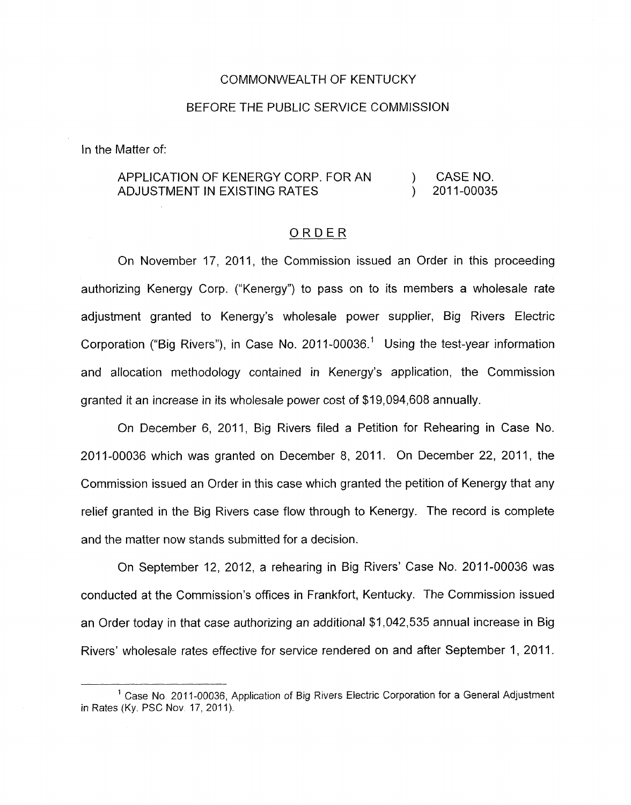#### COMMONWEALTH OF KENTUCKY

#### BEFORE THE PUBLIC SERVICE COMMISSION

In the Matter of:

## APPLICATION OF KENERGY CORP. FOR AN ) CASENO. ADJUSTMENT IN EXISTING RATES ) 2011-00035

#### ORDER

On November 17, 2011, the Commission issued an Order in this proceeding authorizing Kenergy Corp. ("Kenergy") to pass on to its members a wholesale rate adjustment granted to Kenergy's wholesale power supplier, Big Rivers Electric Corporation ("Big Rivers"), in Case No. 2011-00036.<sup>1</sup> Using the test-year information and allocation methodology contained in Kenergy's application, the Commission granted it an increase in its wholesale power cost of \$19,094,608 annually.

On December 6, 2011, Big Rivers filed a Petition for Rehearing in Case No. 2011-00036 which was granted on December 8, 2011. On December 22, 2011, the Commission issued an Order in this case which granted the petition of Kenergy that any relief granted in the Big Rivers case flow through to Kenergy. The record is complete and the matter now stands submitted for a decision.

On September 12, 2012, a rehearing in Big Rivers' Case No. 2011-00036 was conducted at the Commission's offices in Frankfort, Kentucky. The Commission issued an Order today in that case authorizing an additional \$1,042,535 annual increase in Big Rivers' wholesale rates effective for service rendered on and after September 1, 2011.

<sup>&</sup>lt;sup>1</sup> Case No. 2011-00036, Application of Big Rivers Electric Corporation for a General Adjustment in Rates (Ky. PSC Nov. 17, 2011).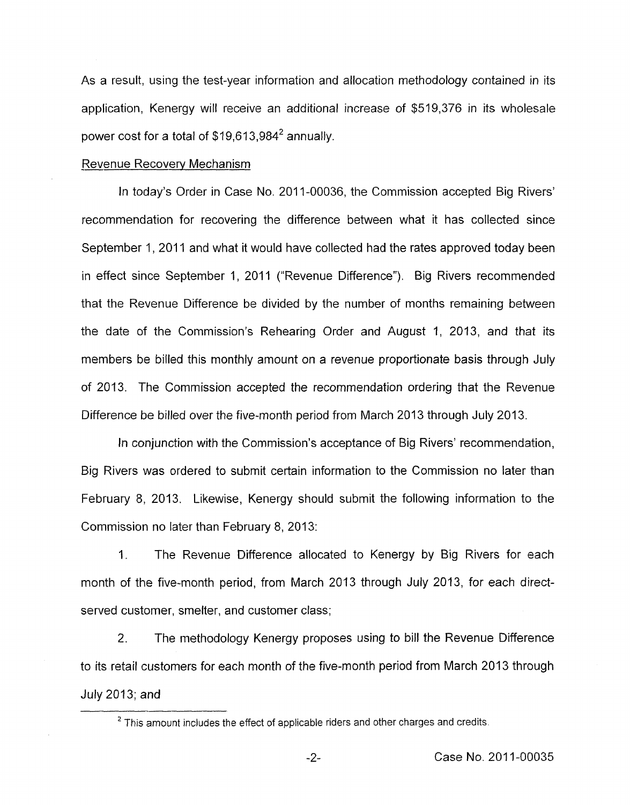As a result, using the test-year information and allocation methodology contained in its application, Kenergy will receive an additional increase of \$519,376 in its wholesale power cost for a total of  $$19,613,984^2$  annually.

#### Revenue Recovery Mechanism

In today's Order in Case No. 2011-00036, the Commission accepted Big Rivers' recommendation for recovering the difference between what it has collected since September 1, 2011 and what it would have collected had the rates approved today been in effect since September 1, 2011 ("Revenue Difference"). Big Rivers recommended that the Revenue Difference be divided by the number of months remaining between the date of the Commission's Rehearing Order and August 1, 2013, and that its members be billed this monthly amount on a revenue proportionate basis through July of 2013. The Commission accepted the recommendation ordering that the Revenue Difference be billed over the five-month period from March 2013 through July 2013.

In conjunction with the Commission's acceptance of Big Rivers' recommendation, Big Rivers was ordered to submit certain information to the Commission no later than February 8, 2013. Likewise, Kenergy should submit the following information to the Commission no later than February 8, 2013:

1. The Revenue Difference allocated to Kenergy by Big Rivers for each month of the five-month period, from March 2013 through July 2013, for each directserved customer, smelter, and customer class;

2. The methodology Kenergy proposes using to bill the Revenue Difference to its retail customers for each month of the five-month period from March 2013 through July 2013; and

This amount includes the effect of applicable riders and other charges and credits. **<sup>2</sup>**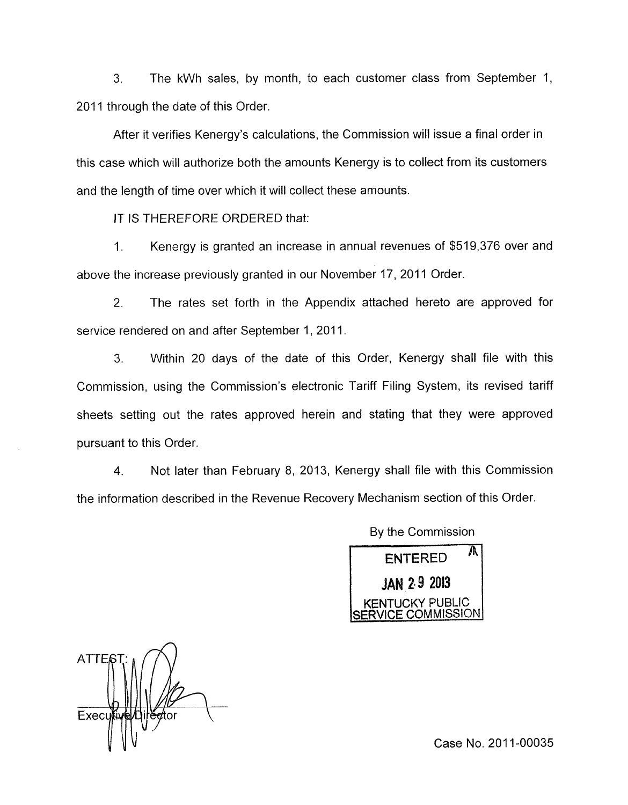3. The kWh sales, by month, to each customer class from September 1, 2011 through the date of this Order.

After it verifies Kenergy's calculations, the Commission will issue a final order in this case which will authorize bath the amounts Kenergy is to collect from its customers and the length of time over which it will collect these amounts.

IT IS THEREFORE ORDERED that:

1. Kenergy is granted an increase in annual revenues of \$519,376 over and above the increase previously granted in our November 17, 2011 Order.

2. The rates set forth in the Appendix attached hereto are approved for service rendered on and after September 1, 2011.

3. Within 20 days of the date of this Order, Kenergy shall file with this Commission, using the Commission's electronic Tariff Filing System, its revised tariff sheets setting out the rates approved herein and stating that they were approved pursuant to this Order.

**4.** Not later than February 8, 2013, Kenergy shall file with this Commission the information described in the Revenue Recovery Mechanism section of this Order

By the Commission

Λ **FNTERED JAN 2-9 2013** 

**ATTES** Execu

Case No. 2011-00035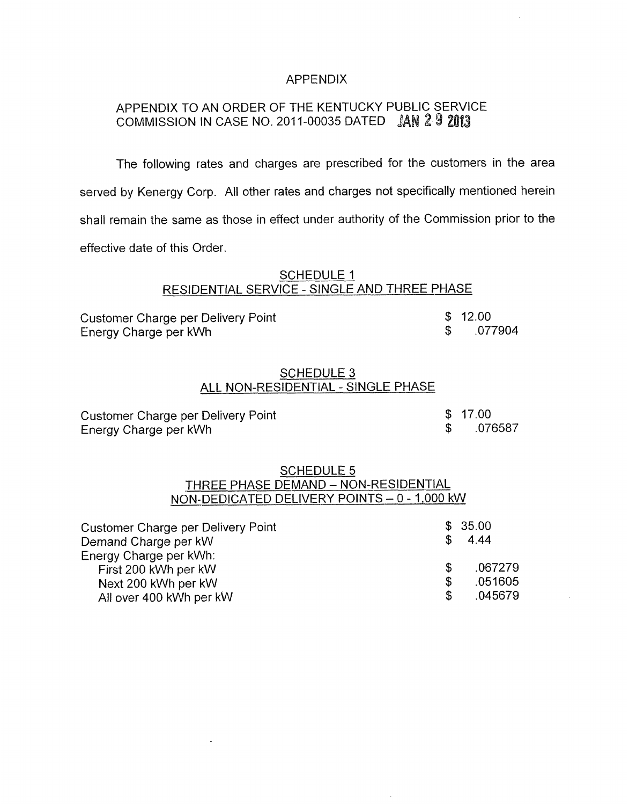#### APPENDIX

# APPENDIX TO AN ORDER OF THE KENTUCKY PUBLIC SERVICE COMMISSION IN CASE NO. 2011-00035 DATED **JAN 29 2013**

The following rates and charges are prescribed for the customers in the area served by Kenergy Corp. All other rates and charges not specifically mentioned herein shall remain the same as those in effect under authority of the Commission prior to the effective date of this Order.

# SCHEDULE 1 RESIDENTIAL SERVICE - SINGLE AND THREE PHASE

| <b>Customer Charge per Delivery Point</b> | \$12.00 |
|-------------------------------------------|---------|
| Energy Charge per kWh                     | .077904 |

#### SCHEDULE 3 ALL NON-RESIDENTIAL - SINGLE PHASE

| Customer Charge per Delivery Point | \$17.00 |
|------------------------------------|---------|
| Energy Charge per kWh              | .076587 |

### SCHEDULE 5 THREE PHASE DEMAND - NON-RESIDENTIAL NON-DEDICATED DELIVERY POINTS - 0 - 1,000 kW

| Customer Charge per Delivery Point                                                               |                | \$35.00                       |
|--------------------------------------------------------------------------------------------------|----------------|-------------------------------|
| Demand Charge per kW                                                                             | \$.            | 4.44                          |
| Energy Charge per kWh:<br>First 200 kWh per kW<br>Next 200 kWh per kW<br>All over 400 kWh per kW | \$<br>\$<br>\$ | .067279<br>.051605<br>.045679 |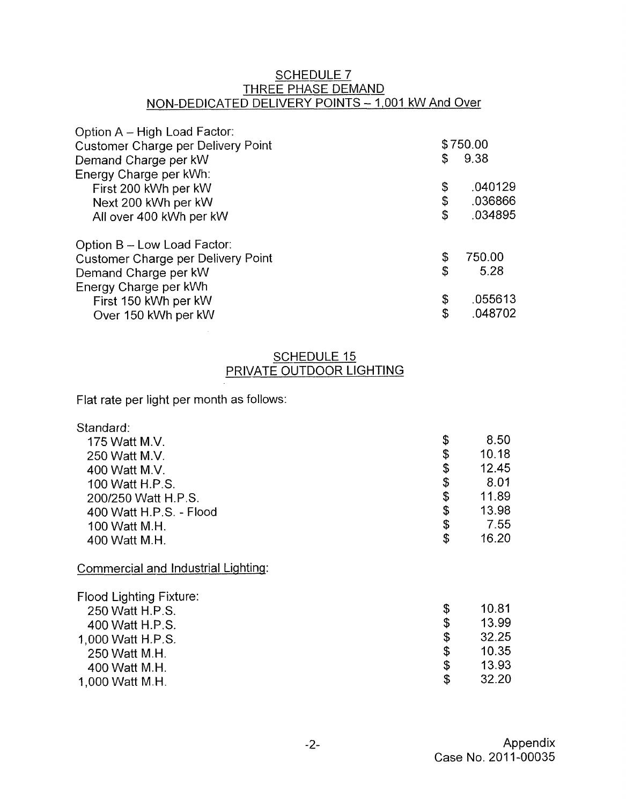## SCHEDULE 7 THREE PHASE DEMAND NON-DEDICATED DELIVERY POINTS - 1,001 kW And Over

| Option A - High Load Factor:              |    |          |
|-------------------------------------------|----|----------|
| <b>Customer Charge per Delivery Point</b> |    | \$750.00 |
| Demand Charge per kW                      | S  | 9.38     |
| Energy Charge per kWh:                    |    |          |
| First 200 kWh per kW                      | \$ | .040129  |
| Next 200 kWh per kW                       | \$ | .036866  |
| All over 400 kWh per kW                   | \$ | .034895  |
| Option B - Low Load Factor:               |    |          |
| <b>Customer Charge per Delivery Point</b> | \$ | 750.00   |
| Demand Charge per kW                      | \$ | 5.28     |
| Energy Charge per kWh                     |    |          |
| First 150 kWh per kW                      | \$ | .055613  |
| Over 150 kWh per kW                       | \$ | .048702  |

# SCHEDULE 15 PRIVATE OUTDOOR LIGHTING

Flat rate per light per month as follows:

| Standard:                           |             |
|-------------------------------------|-------------|
| 175 Watt M.V.                       | \$<br>8.50  |
| 250 Watt M.V.                       | \$<br>10.18 |
| 400 Watt M.V.                       | \$<br>12.45 |
| 100 Watt H.P.S.                     | \$<br>8.01  |
| 200/250 Watt H.P.S.                 | \$<br>11.89 |
| 400 Watt H.P.S. - Flood             | \$<br>13.98 |
| 100 Watt M.H.                       | \$<br>7.55  |
| 400 Watt M.H.                       | \$<br>16.20 |
| Commercial and Industrial Lighting: |             |
| <b>Flood Lighting Fixture:</b>      |             |
| 250 Watt H.P.S.                     | \$<br>10.81 |
| 400 Watt H.P.S.                     | \$<br>13.99 |
| 1,000 Watt H.P.S.                   | \$<br>32.25 |
| 250 Watt M.H.                       | \$<br>10.35 |
| 400 Watt M.H.                       | \$<br>13.93 |
| 1,000 Watt M.H.                     | \$<br>32.20 |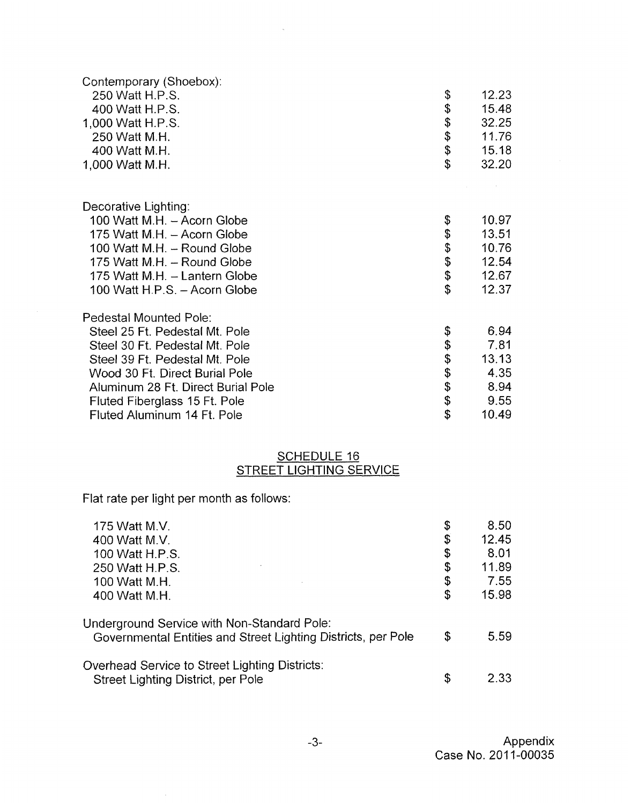| Contemporary (Shoebox):            |        |       |
|------------------------------------|--------|-------|
| 250 Watt H.P.S.                    | \$     | 12.23 |
| 400 Watt H.P.S.                    | \$     | 15.48 |
| 1,000 Watt H.P.S.                  |        | 32.25 |
| 250 Watt M.H.                      |        | 11.76 |
| 400 Watt M.H.                      | \$\$\$ | 15.18 |
| 1,000 Watt M.H.                    | \$     | 32.20 |
|                                    |        |       |
| Decorative Lighting:               |        |       |
| 100 Watt M.H. - Acorn Globe        | \$     | 10.97 |
| 175 Watt M.H. - Acorn Globe        | \$     | 13.51 |
| 100 Watt M.H. - Round Globe        | \$     | 10.76 |
| 175 Watt M.H. - Round Globe        | \$     | 12.54 |
| 175 Watt M.H. - Lantern Globe      | \$     | 12.67 |
| 100 Watt H.P.S. - Acorn Globe      | \$     | 12.37 |
| Pedestal Mounted Pole:             |        |       |
| Steel 25 Ft. Pedestal Mt. Pole     | \$     | 6.94  |
| Steel 30 Ft. Pedestal Mt. Pole     | \$     | 7.81  |
| Steel 39 Ft. Pedestal Mt. Pole     | \$     | 13.13 |
| Wood 30 Ft. Direct Burial Pole     | \$     | 4.35  |
| Aluminum 28 Ft. Direct Burial Pole | \$     | 8.94  |
| Fluted Fiberglass 15 Ft. Pole      | \$     | 9.55  |
| Fluted Aluminum 14 Ft. Pole        | \$     | 10.49 |

 $\hat{\mathbf{z}}$ 

#### SCHEDULE 16 STREET LIGHTING SERVICE

Flat rate per light per month as follows:

 $\hat{\boldsymbol{\gamma}}$ 

| 175 Watt M.V.                                                                                                | \$<br>8.50  |
|--------------------------------------------------------------------------------------------------------------|-------------|
| 400 Watt M.V.                                                                                                | \$<br>12.45 |
| 100 Watt H.P.S.                                                                                              | \$<br>8.01  |
| 250 Watt H.P.S.                                                                                              | \$<br>11.89 |
| 100 Watt M.H.                                                                                                | \$<br>7.55  |
| 400 Watt M.H.                                                                                                | \$<br>15.98 |
| Jnderground Service with Non-Standard Pole:<br>Governmental Entities and Street Lighting Districts, per Pole | \$<br>5.59  |
| Overhead Service to Street Lighting Districts:<br>Street Lighting District, per Pole                         | \$<br>2.33  |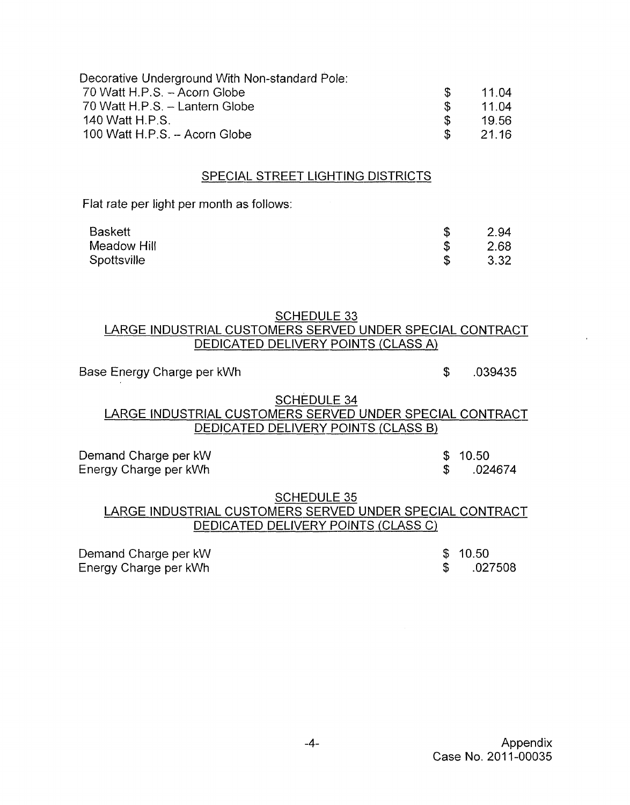| Decorative Underground With Non-standard Pole: |               |       |
|------------------------------------------------|---------------|-------|
| 70 Watt H.P.S. - Acorn Globe                   | $\mathcal{F}$ | 11.04 |
| 70 Watt H.P.S. - Lantern Globe                 | - SS          | 11.04 |
| 140 Watt H.P.S.                                | - SS          | 19.56 |
| 100 Watt H.P.S. - Acorn Globe                  | $\mathcal{S}$ | 21.16 |

#### SPECIAL STREET LIGHTING DISTRICTS

Flat rate per light per month as follows:

| <b>Baskett</b> | 2.94 |
|----------------|------|
| Meadow Hill    | 2.68 |
| Spottsville    | 3.32 |

#### SCHEDULE 33 LARGE INDUSTRIAL CUSTOMERS SERVED UNDER SPECIAL CONTRACT DEDICATED DELIVERY POINTS (CLASS A)

## Base Energy Charge per kWh  $\frac{1}{2}$  .039435

\$ .024674

# SCHEDULE 34 LARGE INDUSTRIAL CUSTOMERS SERVED UNDER SPECIAL CONTRACT LARGE INDUSTRIAL CUS<br>DEDICATI

Demand Charge per kW Energy Charge per kWh

#### SCHEDULE 35

# LARGE INDUSTRIAL CUSTOMERS SERVED UNDER SPECIAL CONTRACT SCHEDULE 35<br>- RIAL CUSTOMERS SERVED UNDER SPECI<br>DEDICATED DELIVERY POINTS (CLASS C)

Demand Charge per kW Energy Charge per kWh

 $$ 10.50$ <br> $$ 02$ \$ .027508

 $$ 10.50$ <br> $$ 024$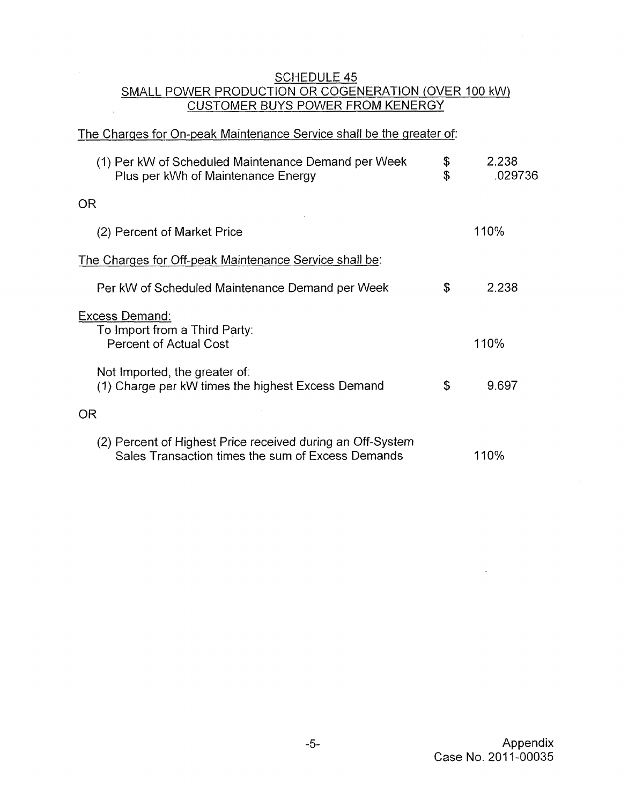# SCHEDULE 45 SMALL POWER PRODUCTION OR COGENERATION (OVER 100 kW)

# CUSTOMER BUYS POWER FROM KENERGY

 $\sim$ 

| The Charges for On-peak Maintenance Service shall be the greater of:                                            |          |                  |
|-----------------------------------------------------------------------------------------------------------------|----------|------------------|
| (1) Per kW of Scheduled Maintenance Demand per Week<br>Plus per kWh of Maintenance Energy                       | \$<br>\$ | 2.238<br>.029736 |
| <b>OR</b>                                                                                                       |          |                  |
| (2) Percent of Market Price                                                                                     |          | 110%             |
| The Charges for Off-peak Maintenance Service shall be:                                                          |          |                  |
| Per kW of Scheduled Maintenance Demand per Week                                                                 | \$       | 2.238            |
| Excess Demand:<br>To Import from a Third Party:<br><b>Percent of Actual Cost</b>                                |          | 110%             |
| Not Imported, the greater of:<br>(1) Charge per kW times the highest Excess Demand                              | \$       | 9.697            |
| 0R                                                                                                              |          |                  |
| (2) Percent of Highest Price received during an Off-System<br>Sales Transaction times the sum of Excess Demands |          | 110%             |

 $\overline{\phantom{a}}$